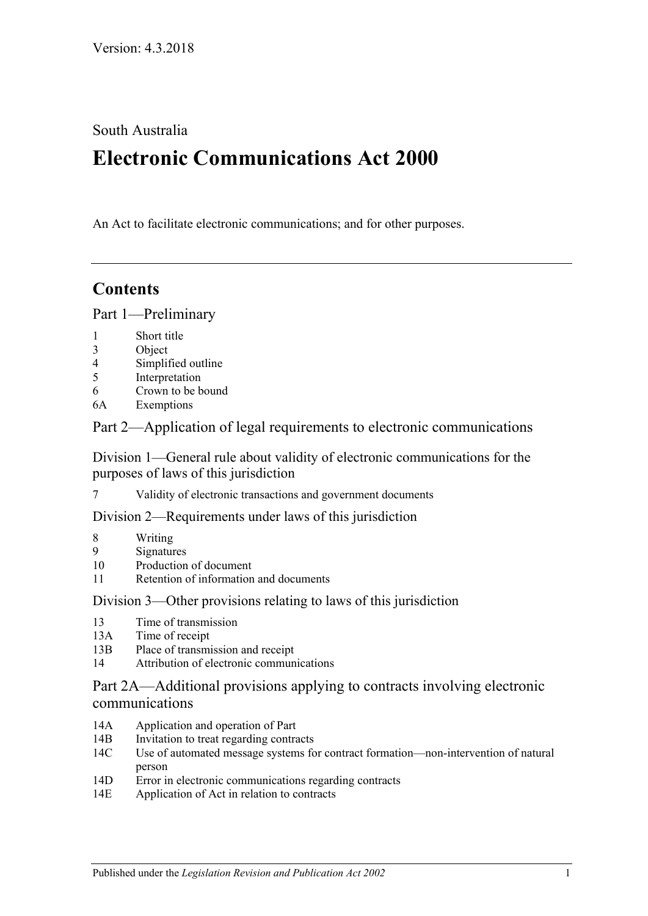South Australia

# **Electronic Communications Act 2000**

An Act to facilitate electronic communications; and for other purposes.

# **Contents**

[Part 1—Preliminary](#page-1-0)

- 1 [Short title](#page-1-1)
- 3 [Object](#page-1-2)
- 4 [Simplified outline](#page-1-3)
- 5 [Interpretation](#page-2-0)
- 6 [Crown to be bound](#page-4-0)
- 6A [Exemptions](#page-5-0)

[Part 2—Application of legal requirements to electronic communications](#page-5-1)

[Division 1—General rule about validity of electronic communications for the](#page-5-2)  [purposes of laws of this jurisdiction](#page-5-2)

7 [Validity of electronic transactions and government documents](#page-5-3)

[Division 2—Requirements under laws of this jurisdiction](#page-5-4)

- 8 [Writing](#page-5-5)
- 9 [Signatures](#page-7-0)
- 10 [Production of document](#page-8-0)
- 11 [Retention of information and documents](#page-9-0)

[Division 3—Other provisions relating to laws of this jurisdiction](#page-10-0)

- 13 [Time of transmission](#page-10-1)
- 13A [Time of receipt](#page-11-0)
- 13B [Place of transmission and receipt](#page-11-1)
- 14 [Attribution of electronic communications](#page-12-0)

[Part 2A—Additional provisions applying to contracts involving electronic](#page-12-1)  [communications](#page-12-1)

- 14A [Application and operation of Part](#page-12-2)
- 14B [Invitation to treat regarding contracts](#page-13-0)
- 14C [Use of automated message systems for contract formation—non-intervention of natural](#page-13-1)  [person](#page-13-1)
- 14D [Error in electronic communications regarding contracts](#page-13-2)
- 14E [Application of Act in relation to contracts](#page-14-0)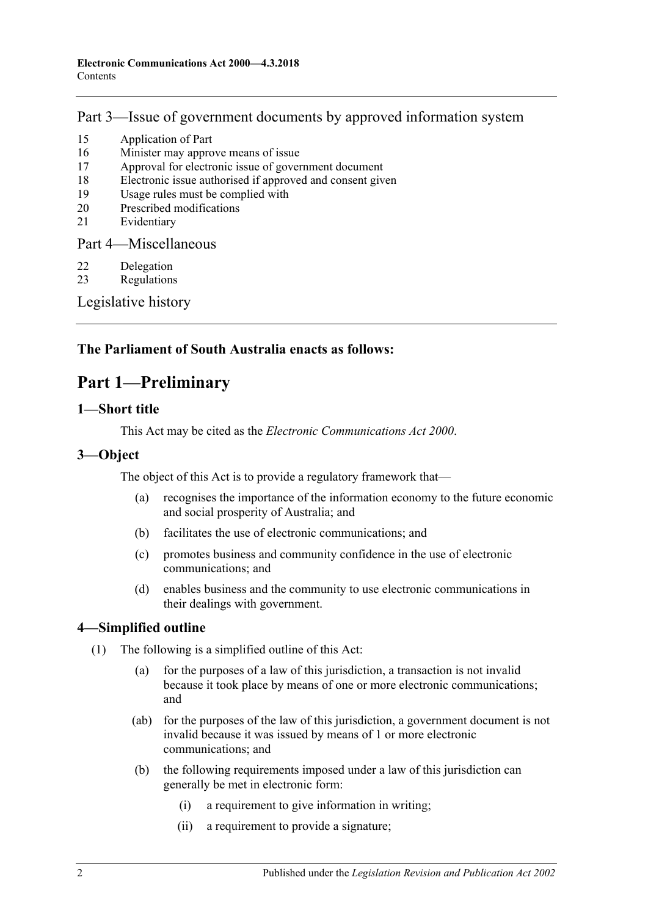# [Part 3—Issue of government documents by approved information system](#page-14-1)

- 15 [Application of Part](#page-14-2)
- 16 [Minister may approve means of issue](#page-15-0)
- 17 [Approval for electronic issue of government document](#page-15-1)
- 18 [Electronic issue authorised if approved and consent given](#page-15-2)
- 19 [Usage rules must be complied with](#page-16-0)
- 20 [Prescribed modifications](#page-16-1)
- 21 [Evidentiary](#page-16-2)

[Part 4—Miscellaneous](#page-16-3)

- 22 [Delegation](#page-16-4)
- 23 [Regulations](#page-16-5)

[Legislative history](#page-18-0)

# <span id="page-1-0"></span>**The Parliament of South Australia enacts as follows:**

# **Part 1—Preliminary**

### <span id="page-1-1"></span>**1—Short title**

This Act may be cited as the *Electronic Communications Act 2000*.

# <span id="page-1-2"></span>**3—Object**

The object of this Act is to provide a regulatory framework that—

- (a) recognises the importance of the information economy to the future economic and social prosperity of Australia; and
- (b) facilitates the use of electronic communications; and
- (c) promotes business and community confidence in the use of electronic communications; and
- (d) enables business and the community to use electronic communications in their dealings with government.

### <span id="page-1-3"></span>**4—Simplified outline**

- (1) The following is a simplified outline of this Act:
	- (a) for the purposes of a law of this jurisdiction, a transaction is not invalid because it took place by means of one or more electronic communications; and
	- (ab) for the purposes of the law of this jurisdiction, a government document is not invalid because it was issued by means of 1 or more electronic communications; and
	- (b) the following requirements imposed under a law of this jurisdiction can generally be met in electronic form:
		- (i) a requirement to give information in writing;
		- (ii) a requirement to provide a signature;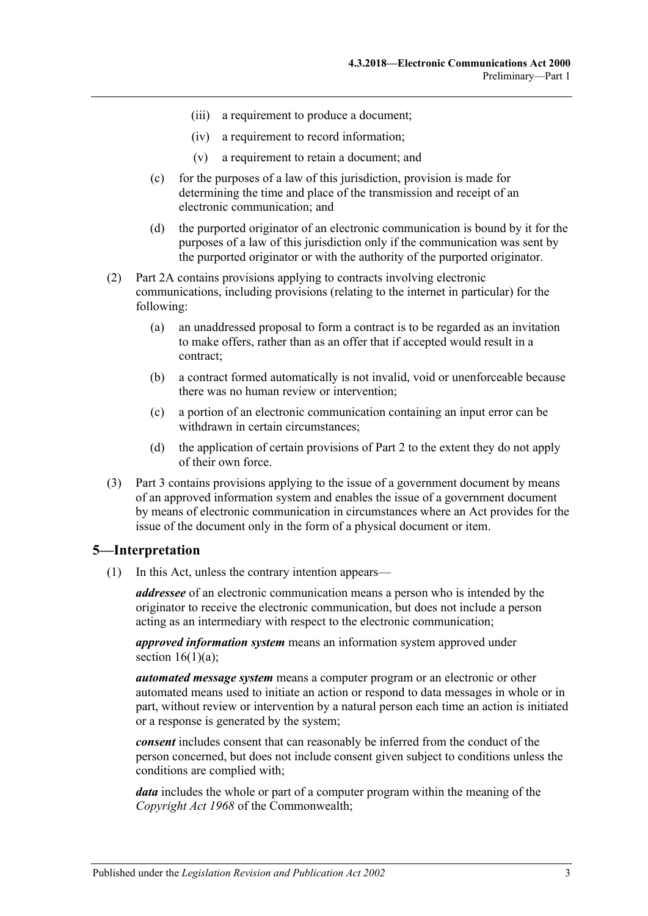- (iii) a requirement to produce a document;
- (iv) a requirement to record information;
- (v) a requirement to retain a document; and
- (c) for the purposes of a law of this jurisdiction, provision is made for determining the time and place of the transmission and receipt of an electronic communication; and
- (d) the purported originator of an electronic communication is bound by it for the purposes of a law of this jurisdiction only if the communication was sent by the purported originator or with the authority of the purported originator.
- (2) [Part 2A](#page-12-1) contains provisions applying to contracts involving electronic communications, including provisions (relating to the internet in particular) for the following:
	- (a) an unaddressed proposal to form a contract is to be regarded as an invitation to make offers, rather than as an offer that if accepted would result in a contract;
	- (b) a contract formed automatically is not invalid, void or unenforceable because there was no human review or intervention;
	- (c) a portion of an electronic communication containing an input error can be withdrawn in certain circumstances;
	- (d) the application of certain provisions of [Part 2](#page-5-1) to the extent they do not apply of their own force.
- (3) [Part 3](#page-14-1) contains provisions applying to the issue of a government document by means of an approved information system and enables the issue of a government document by means of electronic communication in circumstances where an Act provides for the issue of the document only in the form of a physical document or item.

### <span id="page-2-0"></span>**5—Interpretation**

(1) In this Act, unless the contrary intention appears—

*addressee* of an electronic communication means a person who is intended by the originator to receive the electronic communication, but does not include a person acting as an intermediary with respect to the electronic communication;

*approved information system* means an information system approved under section  $16(1)(a)$ ;

*automated message system* means a computer program or an electronic or other automated means used to initiate an action or respond to data messages in whole or in part, without review or intervention by a natural person each time an action is initiated or a response is generated by the system;

*consent* includes consent that can reasonably be inferred from the conduct of the person concerned, but does not include consent given subject to conditions unless the conditions are complied with;

*data* includes the whole or part of a computer program within the meaning of the *Copyright Act 1968* of the Commonwealth;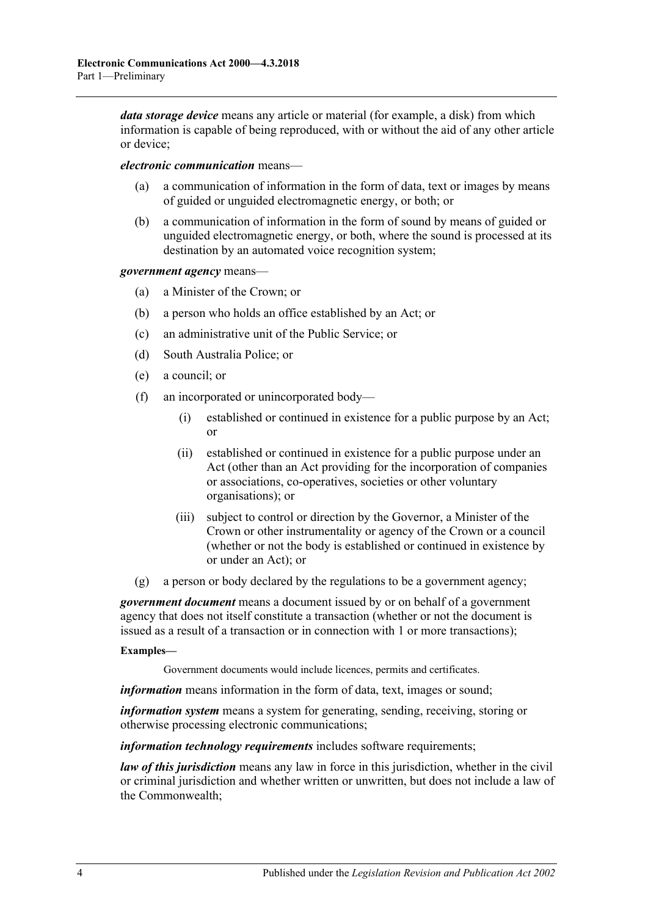*data storage device* means any article or material (for example, a disk) from which information is capable of being reproduced, with or without the aid of any other article or device;

*electronic communication* means—

- a communication of information in the form of data, text or images by means of guided or unguided electromagnetic energy, or both; or
- (b) a communication of information in the form of sound by means of guided or unguided electromagnetic energy, or both, where the sound is processed at its destination by an automated voice recognition system;

*government agency* means—

- (a) a Minister of the Crown; or
- (b) a person who holds an office established by an Act; or
- (c) an administrative unit of the Public Service; or
- (d) South Australia Police; or
- (e) a council; or
- (f) an incorporated or unincorporated body—
	- (i) established or continued in existence for a public purpose by an Act; or
	- (ii) established or continued in existence for a public purpose under an Act (other than an Act providing for the incorporation of companies or associations, co-operatives, societies or other voluntary organisations); or
	- (iii) subject to control or direction by the Governor, a Minister of the Crown or other instrumentality or agency of the Crown or a council (whether or not the body is established or continued in existence by or under an Act); or
- (g) a person or body declared by the regulations to be a government agency;

*government document* means a document issued by or on behalf of a government agency that does not itself constitute a transaction (whether or not the document is issued as a result of a transaction or in connection with 1 or more transactions);

#### **Examples—**

Government documents would include licences, permits and certificates.

*information* means information in the form of data, text, images or sound;

*information system* means a system for generating, sending, receiving, storing or otherwise processing electronic communications;

*information technology requirements* includes software requirements;

*law of this jurisdiction* means any law in force in this jurisdiction, whether in the civil or criminal jurisdiction and whether written or unwritten, but does not include a law of the Commonwealth;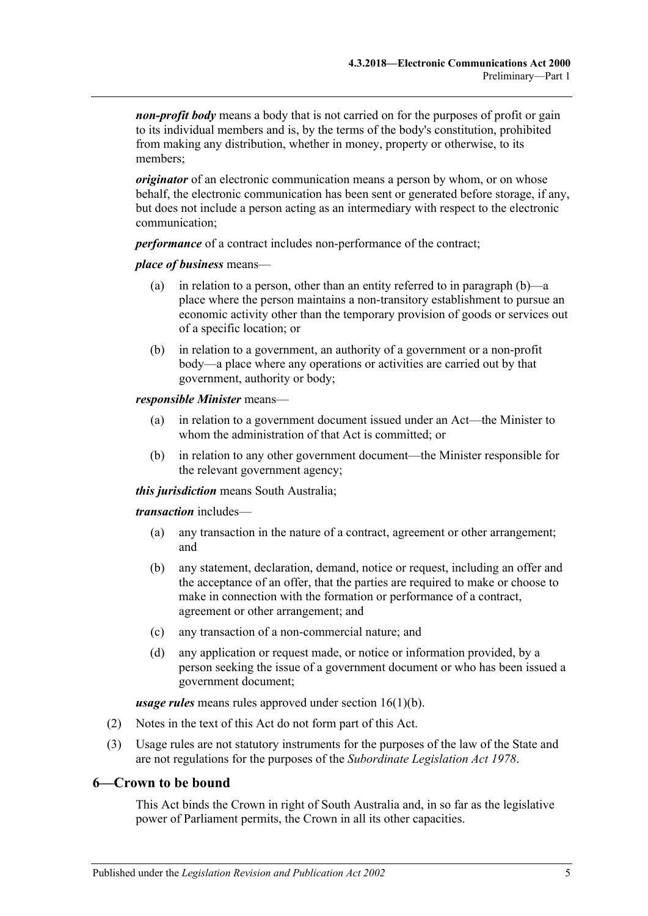*non-profit body* means a body that is not carried on for the purposes of profit or gain to its individual members and is, by the terms of the body's constitution, prohibited from making any distribution, whether in money, property or otherwise, to its members;

*originator* of an electronic communication means a person by whom, or on whose behalf, the electronic communication has been sent or generated before storage, if any, but does not include a person acting as an intermediary with respect to the electronic communication;

*performance* of a contract includes non-performance of the contract;

#### *place of business* means—

- (a) in relation to a person, other than an entity referred to in [paragraph](#page-4-1) (b)—a place where the person maintains a non-transitory establishment to pursue an economic activity other than the temporary provision of goods or services out of a specific location; or
- <span id="page-4-1"></span>(b) in relation to a government, an authority of a government or a non-profit body—a place where any operations or activities are carried out by that government, authority or body;

#### *responsible Minister* means—

- (a) in relation to a government document issued under an Act—the Minister to whom the administration of that Act is committed; or
- (b) in relation to any other government document—the Minister responsible for the relevant government agency;

*this jurisdiction* means South Australia;

*transaction* includes—

- (a) any transaction in the nature of a contract, agreement or other arrangement; and
- (b) any statement, declaration, demand, notice or request, including an offer and the acceptance of an offer, that the parties are required to make or choose to make in connection with the formation or performance of a contract, agreement or other arrangement; and
- (c) any transaction of a non-commercial nature; and
- (d) any application or request made, or notice or information provided, by a person seeking the issue of a government document or who has been issued a government document;

*usage rules* means rules approved under section [16\(1\)\(b\).](#page-15-4)

- (2) Notes in the text of this Act do not form part of this Act.
- (3) Usage rules are not statutory instruments for the purposes of the law of the State and are not regulations for the purposes of the *[Subordinate Legislation Act](http://www.legislation.sa.gov.au/index.aspx?action=legref&type=act&legtitle=Subordinate%20Legislation%20Act%201978) 1978*.

### <span id="page-4-0"></span>**6—Crown to be bound**

This Act binds the Crown in right of South Australia and, in so far as the legislative power of Parliament permits, the Crown in all its other capacities.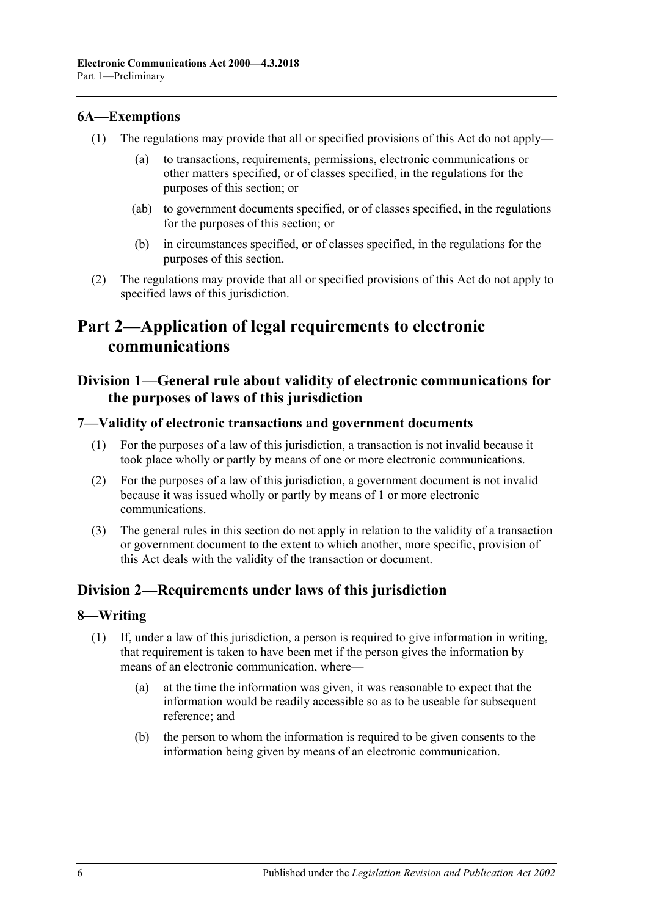### <span id="page-5-0"></span>**6A—Exemptions**

- (1) The regulations may provide that all or specified provisions of this Act do not apply
	- to transactions, requirements, permissions, electronic communications or other matters specified, or of classes specified, in the regulations for the purposes of this section; or
	- (ab) to government documents specified, or of classes specified, in the regulations for the purposes of this section; or
	- (b) in circumstances specified, or of classes specified, in the regulations for the purposes of this section.
- (2) The regulations may provide that all or specified provisions of this Act do not apply to specified laws of this jurisdiction.

# <span id="page-5-1"></span>**Part 2—Application of legal requirements to electronic communications**

# <span id="page-5-2"></span>**Division 1—General rule about validity of electronic communications for the purposes of laws of this jurisdiction**

### <span id="page-5-3"></span>**7—Validity of electronic transactions and government documents**

- (1) For the purposes of a law of this jurisdiction, a transaction is not invalid because it took place wholly or partly by means of one or more electronic communications.
- (2) For the purposes of a law of this jurisdiction, a government document is not invalid because it was issued wholly or partly by means of 1 or more electronic communications.
- (3) The general rules in this section do not apply in relation to the validity of a transaction or government document to the extent to which another, more specific, provision of this Act deals with the validity of the transaction or document.

### <span id="page-5-4"></span>**Division 2—Requirements under laws of this jurisdiction**

### <span id="page-5-5"></span>**8—Writing**

- <span id="page-5-6"></span>(1) If, under a law of this jurisdiction, a person is required to give information in writing, that requirement is taken to have been met if the person gives the information by means of an electronic communication, where—
	- (a) at the time the information was given, it was reasonable to expect that the information would be readily accessible so as to be useable for subsequent reference; and
	- (b) the person to whom the information is required to be given consents to the information being given by means of an electronic communication.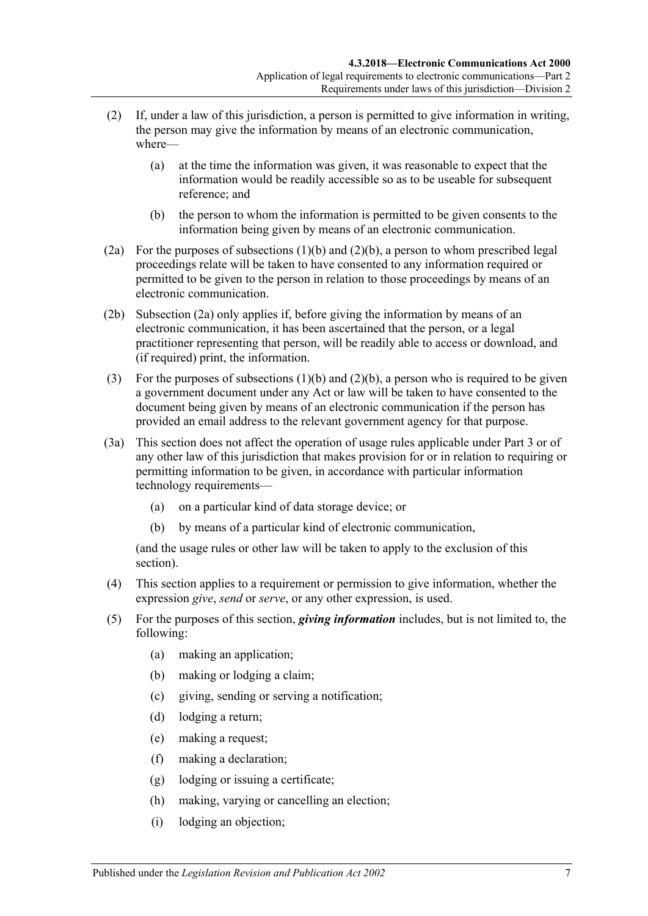- (2) If, under a law of this jurisdiction, a person is permitted to give information in writing, the person may give the information by means of an electronic communication, where—
	- (a) at the time the information was given, it was reasonable to expect that the information would be readily accessible so as to be useable for subsequent reference; and
	- (b) the person to whom the information is permitted to be given consents to the information being given by means of an electronic communication.
- <span id="page-6-1"></span><span id="page-6-0"></span>(2a) For the purposes of [subsections](#page-5-6) (1)(b) and [\(2\)\(b\),](#page-6-0) a person to whom prescribed legal proceedings relate will be taken to have consented to any information required or permitted to be given to the person in relation to those proceedings by means of an electronic communication.
- (2b) [Subsection \(2a\)](#page-6-1) only applies if, before giving the information by means of an electronic communication, it has been ascertained that the person, or a legal practitioner representing that person, will be readily able to access or download, and (if required) print, the information.
- (3) For the purposes of [subsections](#page-5-6)  $(1)(b)$  and  $(2)(b)$ , a person who is required to be given a government document under any Act or law will be taken to have consented to the document being given by means of an electronic communication if the person has provided an email address to the relevant government agency for that purpose.
- (3a) This section does not affect the operation of usage rules applicable under [Part 3](#page-14-1) or of any other law of this jurisdiction that makes provision for or in relation to requiring or permitting information to be given, in accordance with particular information technology requirements—
	- (a) on a particular kind of data storage device; or
	- (b) by means of a particular kind of electronic communication,

(and the usage rules or other law will be taken to apply to the exclusion of this section).

- (4) This section applies to a requirement or permission to give information, whether the expression *give*, *send* or *serve*, or any other expression, is used.
- (5) For the purposes of this section, *giving information* includes, but is not limited to, the following:
	- (a) making an application;
	- (b) making or lodging a claim;
	- (c) giving, sending or serving a notification;
	- (d) lodging a return;
	- (e) making a request;
	- (f) making a declaration;
	- (g) lodging or issuing a certificate;
	- (h) making, varying or cancelling an election;
	- (i) lodging an objection;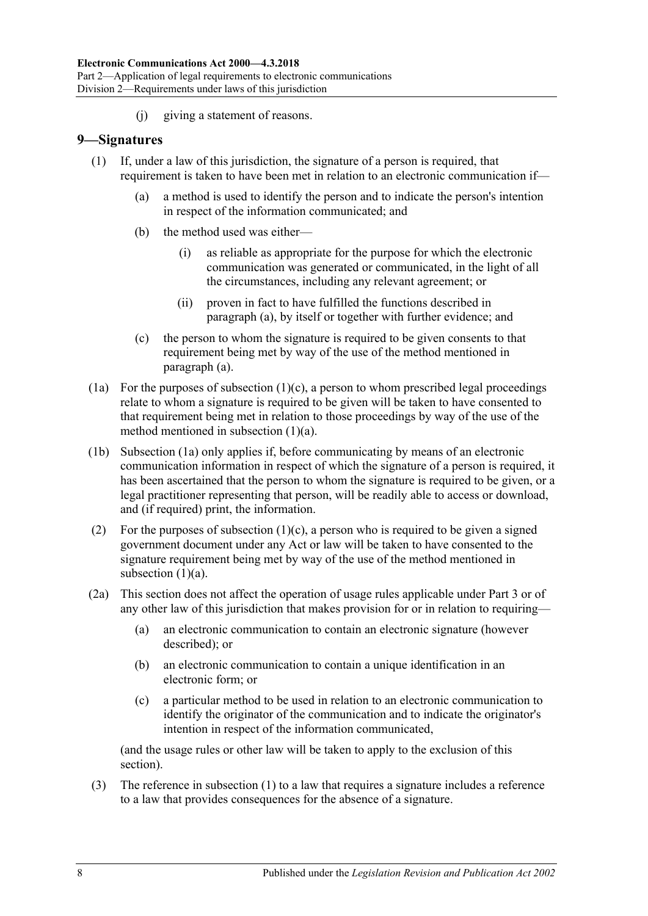(j) giving a statement of reasons.

### <span id="page-7-4"></span><span id="page-7-0"></span>**9—Signatures**

- <span id="page-7-1"></span>(1) If, under a law of this jurisdiction, the signature of a person is required, that requirement is taken to have been met in relation to an electronic communication if—
	- (a) a method is used to identify the person and to indicate the person's intention in respect of the information communicated; and
	- (b) the method used was either—
		- (i) as reliable as appropriate for the purpose for which the electronic communication was generated or communicated, in the light of all the circumstances, including any relevant agreement; or
		- (ii) proven in fact to have fulfilled the functions described in [paragraph](#page-7-1) (a), by itself or together with further evidence; and
	- (c) the person to whom the signature is required to be given consents to that requirement being met by way of the use of the method mentioned in [paragraph](#page-7-1) (a).
- <span id="page-7-3"></span><span id="page-7-2"></span>(1a) For the purposes of [subsection](#page-7-2)  $(1)(c)$ , a person to whom prescribed legal proceedings relate to whom a signature is required to be given will be taken to have consented to that requirement being met in relation to those proceedings by way of the use of the method mentioned in [subsection](#page-7-1) (1)(a).
- (1b) [Subsection \(1a\)](#page-7-3) only applies if, before communicating by means of an electronic communication information in respect of which the signature of a person is required, it has been ascertained that the person to whom the signature is required to be given, or a legal practitioner representing that person, will be readily able to access or download, and (if required) print, the information.
- (2) For the purposes of [subsection](#page-7-2)  $(1)(c)$ , a person who is required to be given a signed government document under any Act or law will be taken to have consented to the signature requirement being met by way of the use of the method mentioned in [subsection](#page-7-1)  $(1)(a)$ .
- (2a) This section does not affect the operation of usage rules applicable under [Part 3](#page-14-1) or of any other law of this jurisdiction that makes provision for or in relation to requiring—
	- (a) an electronic communication to contain an electronic signature (however described); or
	- (b) an electronic communication to contain a unique identification in an electronic form; or
	- (c) a particular method to be used in relation to an electronic communication to identify the originator of the communication and to indicate the originator's intention in respect of the information communicated,

(and the usage rules or other law will be taken to apply to the exclusion of this section).

(3) The reference in [subsection](#page-7-4) (1) to a law that requires a signature includes a reference to a law that provides consequences for the absence of a signature.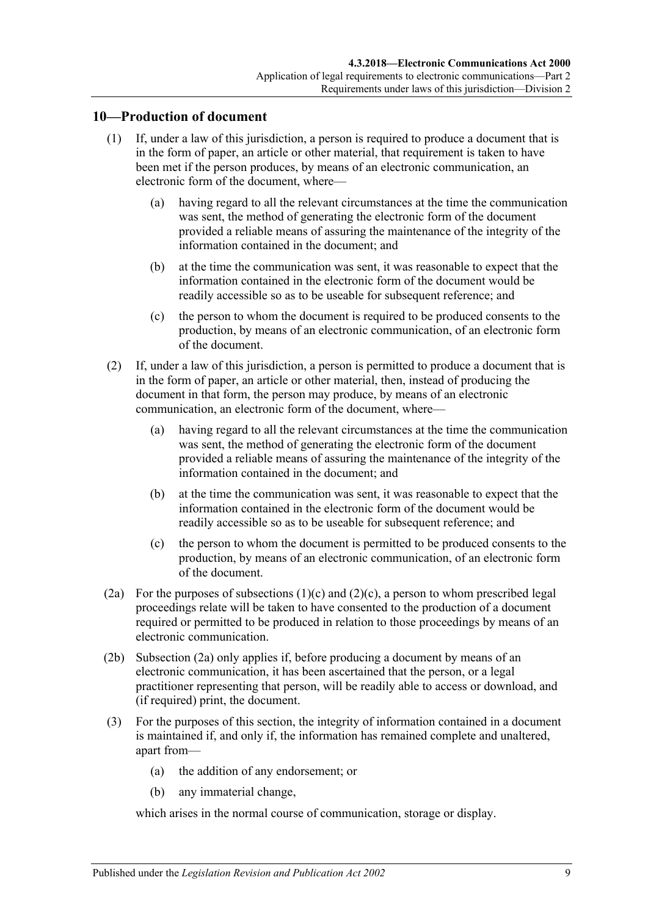### <span id="page-8-0"></span>**10—Production of document**

- (1) If, under a law of this jurisdiction, a person is required to produce a document that is in the form of paper, an article or other material, that requirement is taken to have been met if the person produces, by means of an electronic communication, an electronic form of the document, where-
	- (a) having regard to all the relevant circumstances at the time the communication was sent, the method of generating the electronic form of the document provided a reliable means of assuring the maintenance of the integrity of the information contained in the document; and
	- (b) at the time the communication was sent, it was reasonable to expect that the information contained in the electronic form of the document would be readily accessible so as to be useable for subsequent reference; and
	- (c) the person to whom the document is required to be produced consents to the production, by means of an electronic communication, of an electronic form of the document.
- <span id="page-8-1"></span>(2) If, under a law of this jurisdiction, a person is permitted to produce a document that is in the form of paper, an article or other material, then, instead of producing the document in that form, the person may produce, by means of an electronic communication, an electronic form of the document, where—
	- (a) having regard to all the relevant circumstances at the time the communication was sent, the method of generating the electronic form of the document provided a reliable means of assuring the maintenance of the integrity of the information contained in the document; and
	- (b) at the time the communication was sent, it was reasonable to expect that the information contained in the electronic form of the document would be readily accessible so as to be useable for subsequent reference; and
	- (c) the person to whom the document is permitted to be produced consents to the production, by means of an electronic communication, of an electronic form of the document.
- <span id="page-8-3"></span><span id="page-8-2"></span>(2a) For the purposes of [subsections](#page-8-1)  $(1)(c)$  and  $(2)(c)$ , a person to whom prescribed legal proceedings relate will be taken to have consented to the production of a document required or permitted to be produced in relation to those proceedings by means of an electronic communication.
- (2b) [Subsection \(2a\)](#page-8-3) only applies if, before producing a document by means of an electronic communication, it has been ascertained that the person, or a legal practitioner representing that person, will be readily able to access or download, and (if required) print, the document.
- (3) For the purposes of this section, the integrity of information contained in a document is maintained if, and only if, the information has remained complete and unaltered, apart from—
	- (a) the addition of any endorsement; or
	- (b) any immaterial change,

which arises in the normal course of communication, storage or display.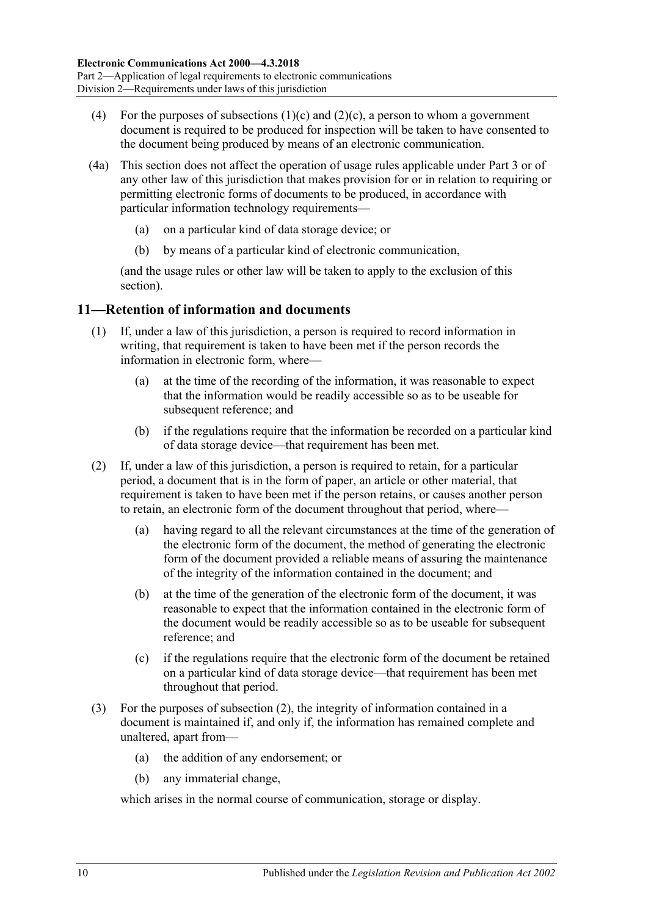- (4) For the purposes of [subsections](#page-8-1)  $(1)(c)$  and  $(2)(c)$ , a person to whom a government document is required to be produced for inspection will be taken to have consented to the document being produced by means of an electronic communication.
- (4a) This section does not affect the operation of usage rules applicable under [Part 3](#page-14-1) or of any other law of this jurisdiction that makes provision for or in relation to requiring or permitting electronic forms of documents to be produced, in accordance with particular information technology requirements—
	- (a) on a particular kind of data storage device; or
	- (b) by means of a particular kind of electronic communication,

(and the usage rules or other law will be taken to apply to the exclusion of this section).

### <span id="page-9-0"></span>**11—Retention of information and documents**

- (1) If, under a law of this jurisdiction, a person is required to record information in writing, that requirement is taken to have been met if the person records the information in electronic form, where—
	- (a) at the time of the recording of the information, it was reasonable to expect that the information would be readily accessible so as to be useable for subsequent reference; and
	- (b) if the regulations require that the information be recorded on a particular kind of data storage device—that requirement has been met.
- <span id="page-9-1"></span>(2) If, under a law of this jurisdiction, a person is required to retain, for a particular period, a document that is in the form of paper, an article or other material, that requirement is taken to have been met if the person retains, or causes another person to retain, an electronic form of the document throughout that period, where—
	- (a) having regard to all the relevant circumstances at the time of the generation of the electronic form of the document, the method of generating the electronic form of the document provided a reliable means of assuring the maintenance of the integrity of the information contained in the document; and
	- (b) at the time of the generation of the electronic form of the document, it was reasonable to expect that the information contained in the electronic form of the document would be readily accessible so as to be useable for subsequent reference; and
	- (c) if the regulations require that the electronic form of the document be retained on a particular kind of data storage device—that requirement has been met throughout that period.
- (3) For the purposes of [subsection](#page-9-1) (2), the integrity of information contained in a document is maintained if, and only if, the information has remained complete and unaltered, apart from—
	- (a) the addition of any endorsement; or
	- (b) any immaterial change,

which arises in the normal course of communication, storage or display.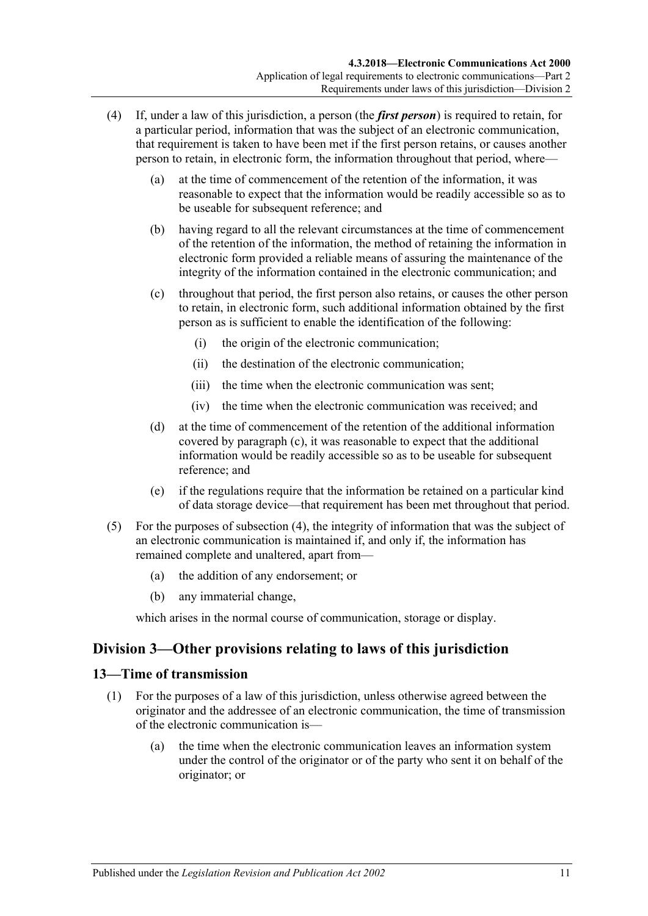- <span id="page-10-3"></span><span id="page-10-2"></span>(4) If, under a law of this jurisdiction, a person (the *first person*) is required to retain, for a particular period, information that was the subject of an electronic communication, that requirement is taken to have been met if the first person retains, or causes another person to retain, in electronic form, the information throughout that period, where—
	- (a) at the time of commencement of the retention of the information, it was reasonable to expect that the information would be readily accessible so as to be useable for subsequent reference; and
	- (b) having regard to all the relevant circumstances at the time of commencement of the retention of the information, the method of retaining the information in electronic form provided a reliable means of assuring the maintenance of the integrity of the information contained in the electronic communication; and
	- (c) throughout that period, the first person also retains, or causes the other person to retain, in electronic form, such additional information obtained by the first person as is sufficient to enable the identification of the following:
		- (i) the origin of the electronic communication;
		- (ii) the destination of the electronic communication;
		- (iii) the time when the electronic communication was sent;
		- (iv) the time when the electronic communication was received; and
	- (d) at the time of commencement of the retention of the additional information covered by [paragraph](#page-10-2) (c), it was reasonable to expect that the additional information would be readily accessible so as to be useable for subsequent reference; and
	- (e) if the regulations require that the information be retained on a particular kind of data storage device—that requirement has been met throughout that period.
- (5) For the purposes of [subsection](#page-10-3) (4), the integrity of information that was the subject of an electronic communication is maintained if, and only if, the information has remained complete and unaltered, apart from—
	- (a) the addition of any endorsement; or
	- (b) any immaterial change,

which arises in the normal course of communication, storage or display.

# <span id="page-10-0"></span>**Division 3—Other provisions relating to laws of this jurisdiction**

### <span id="page-10-4"></span><span id="page-10-1"></span>**13—Time of transmission**

- (1) For the purposes of a law of this jurisdiction, unless otherwise agreed between the originator and the addressee of an electronic communication, the time of transmission of the electronic communication is—
	- (a) the time when the electronic communication leaves an information system under the control of the originator or of the party who sent it on behalf of the originator; or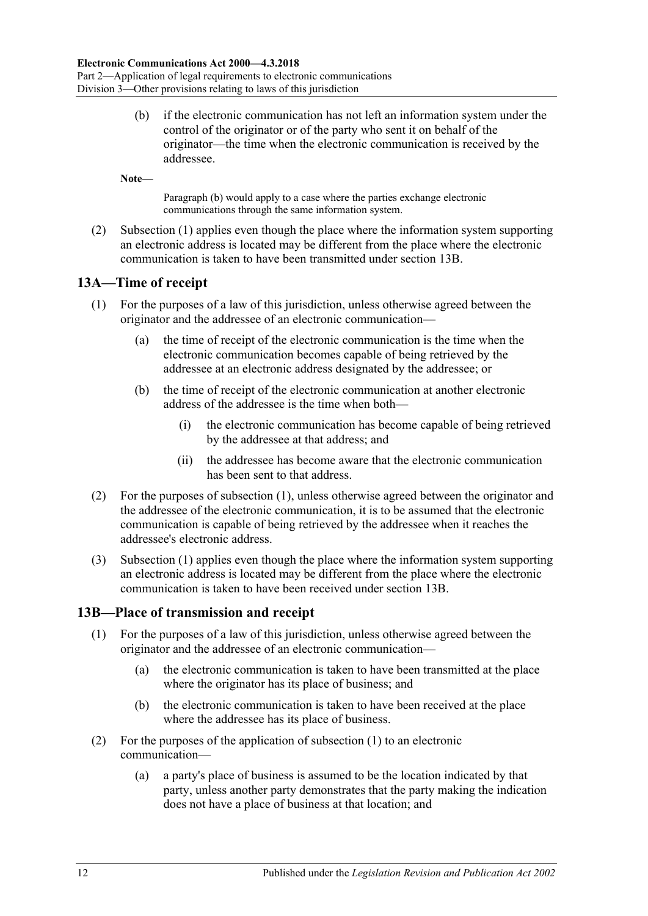<span id="page-11-2"></span>(b) if the electronic communication has not left an information system under the control of the originator or of the party who sent it on behalf of the originator—the time when the electronic communication is received by the addressee.

**Note—**

[Paragraph](#page-11-2) (b) would apply to a case where the parties exchange electronic communications through the same information system.

(2) [Subsection](#page-10-4) (1) applies even though the place where the information system supporting an electronic address is located may be different from the place where the electronic communication is taken to have been transmitted under [section](#page-11-1) 13B.

### <span id="page-11-3"></span><span id="page-11-0"></span>**13A—Time of receipt**

- (1) For the purposes of a law of this jurisdiction, unless otherwise agreed between the originator and the addressee of an electronic communication—
	- (a) the time of receipt of the electronic communication is the time when the electronic communication becomes capable of being retrieved by the addressee at an electronic address designated by the addressee; or
	- (b) the time of receipt of the electronic communication at another electronic address of the addressee is the time when both—
		- (i) the electronic communication has become capable of being retrieved by the addressee at that address; and
		- (ii) the addressee has become aware that the electronic communication has been sent to that address.
- (2) For the purposes of [subsection](#page-11-3) (1), unless otherwise agreed between the originator and the addressee of the electronic communication, it is to be assumed that the electronic communication is capable of being retrieved by the addressee when it reaches the addressee's electronic address.
- (3) [Subsection](#page-11-3) (1) applies even though the place where the information system supporting an electronic address is located may be different from the place where the electronic communication is taken to have been received under [section](#page-11-1) 13B.

### <span id="page-11-4"></span><span id="page-11-1"></span>**13B—Place of transmission and receipt**

- (1) For the purposes of a law of this jurisdiction, unless otherwise agreed between the originator and the addressee of an electronic communication—
	- (a) the electronic communication is taken to have been transmitted at the place where the originator has its place of business; and
	- (b) the electronic communication is taken to have been received at the place where the addressee has its place of business.
- (2) For the purposes of the application of [subsection](#page-11-4) (1) to an electronic communication—
	- (a) a party's place of business is assumed to be the location indicated by that party, unless another party demonstrates that the party making the indication does not have a place of business at that location; and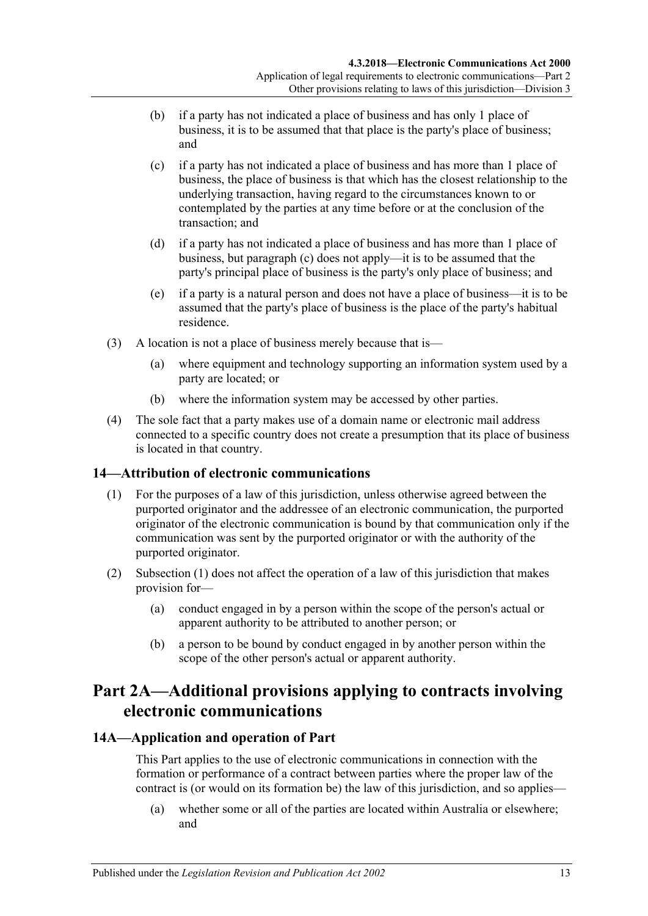- (b) if a party has not indicated a place of business and has only 1 place of business, it is to be assumed that that place is the party's place of business; and
- <span id="page-12-3"></span>(c) if a party has not indicated a place of business and has more than 1 place of business, the place of business is that which has the closest relationship to the underlying transaction, having regard to the circumstances known to or contemplated by the parties at any time before or at the conclusion of the transaction; and
- (d) if a party has not indicated a place of business and has more than 1 place of business, but [paragraph](#page-12-3) (c) does not apply—it is to be assumed that the party's principal place of business is the party's only place of business; and
- (e) if a party is a natural person and does not have a place of business—it is to be assumed that the party's place of business is the place of the party's habitual residence.
- (3) A location is not a place of business merely because that is—
	- (a) where equipment and technology supporting an information system used by a party are located; or
	- (b) where the information system may be accessed by other parties.
- (4) The sole fact that a party makes use of a domain name or electronic mail address connected to a specific country does not create a presumption that its place of business is located in that country.

### <span id="page-12-4"></span><span id="page-12-0"></span>**14—Attribution of electronic communications**

- (1) For the purposes of a law of this jurisdiction, unless otherwise agreed between the purported originator and the addressee of an electronic communication, the purported originator of the electronic communication is bound by that communication only if the communication was sent by the purported originator or with the authority of the purported originator.
- (2) [Subsection](#page-12-4) (1) does not affect the operation of a law of this jurisdiction that makes provision for—
	- (a) conduct engaged in by a person within the scope of the person's actual or apparent authority to be attributed to another person; or
	- (b) a person to be bound by conduct engaged in by another person within the scope of the other person's actual or apparent authority.

# <span id="page-12-1"></span>**Part 2A—Additional provisions applying to contracts involving electronic communications**

### <span id="page-12-2"></span>**14A—Application and operation of Part**

This Part applies to the use of electronic communications in connection with the formation or performance of a contract between parties where the proper law of the contract is (or would on its formation be) the law of this jurisdiction, and so applies—

(a) whether some or all of the parties are located within Australia or elsewhere; and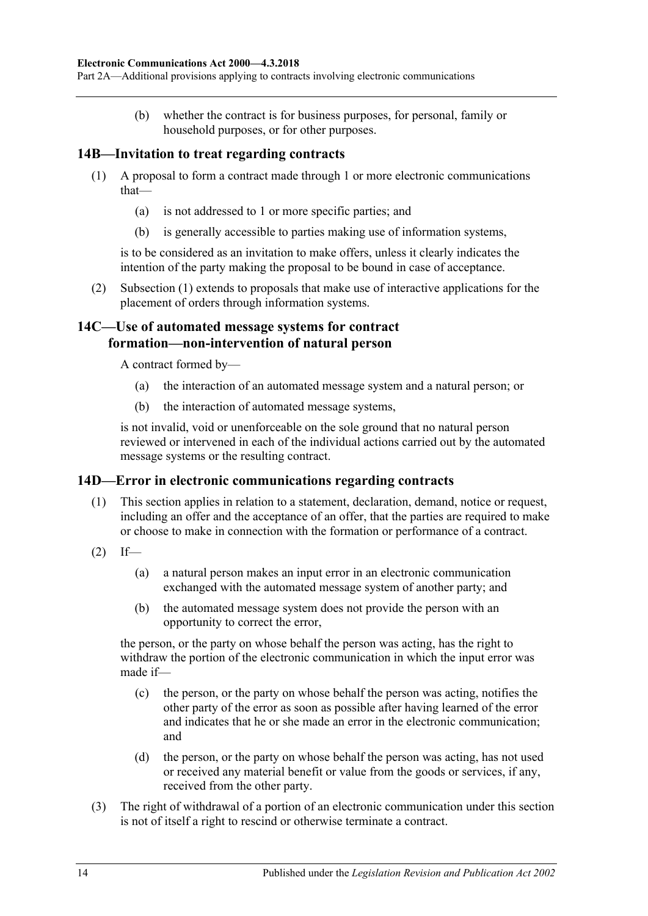Part 2A—Additional provisions applying to contracts involving electronic communications

(b) whether the contract is for business purposes, for personal, family or household purposes, or for other purposes.

### <span id="page-13-3"></span><span id="page-13-0"></span>**14B—Invitation to treat regarding contracts**

- (1) A proposal to form a contract made through 1 or more electronic communications that—
	- (a) is not addressed to 1 or more specific parties; and
	- (b) is generally accessible to parties making use of information systems,

is to be considered as an invitation to make offers, unless it clearly indicates the intention of the party making the proposal to be bound in case of acceptance.

(2) [Subsection](#page-13-3) (1) extends to proposals that make use of interactive applications for the placement of orders through information systems.

### <span id="page-13-1"></span>**14C—Use of automated message systems for contract formation—non-intervention of natural person**

A contract formed by—

- (a) the interaction of an automated message system and a natural person; or
- (b) the interaction of automated message systems,

is not invalid, void or unenforceable on the sole ground that no natural person reviewed or intervened in each of the individual actions carried out by the automated message systems or the resulting contract.

#### <span id="page-13-2"></span>**14D—Error in electronic communications regarding contracts**

- (1) This section applies in relation to a statement, declaration, demand, notice or request, including an offer and the acceptance of an offer, that the parties are required to make or choose to make in connection with the formation or performance of a contract.
- $(2)$  If—
	- (a) a natural person makes an input error in an electronic communication exchanged with the automated message system of another party; and
	- (b) the automated message system does not provide the person with an opportunity to correct the error,

the person, or the party on whose behalf the person was acting, has the right to withdraw the portion of the electronic communication in which the input error was made if—

- (c) the person, or the party on whose behalf the person was acting, notifies the other party of the error as soon as possible after having learned of the error and indicates that he or she made an error in the electronic communication; and
- (d) the person, or the party on whose behalf the person was acting, has not used or received any material benefit or value from the goods or services, if any, received from the other party.
- (3) The right of withdrawal of a portion of an electronic communication under this section is not of itself a right to rescind or otherwise terminate a contract.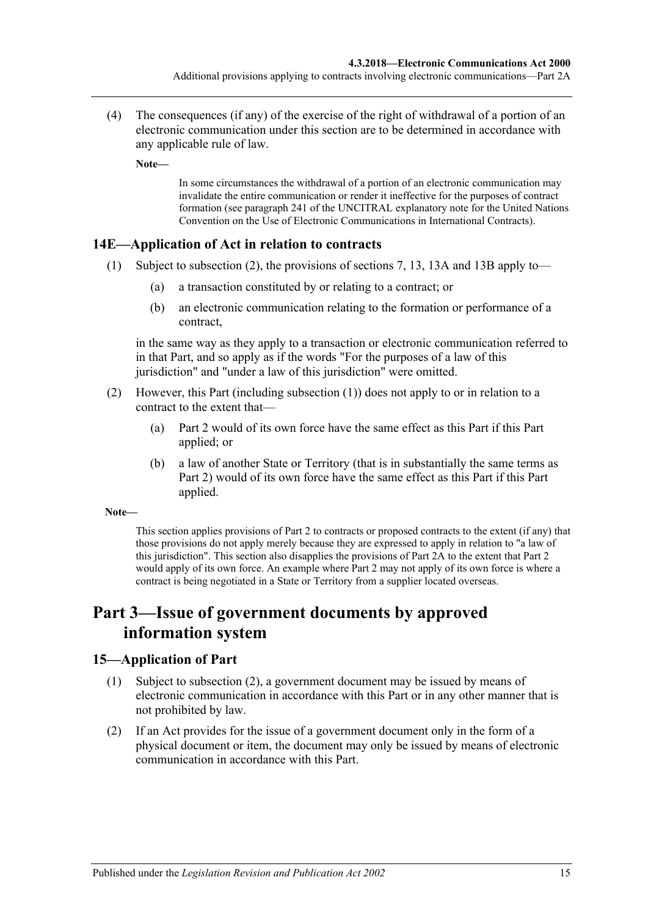(4) The consequences (if any) of the exercise of the right of withdrawal of a portion of an electronic communication under this section are to be determined in accordance with any applicable rule of law.

**Note—**

In some circumstances the withdrawal of a portion of an electronic communication may invalidate the entire communication or render it ineffective for the purposes of contract formation (see paragraph 241 of the UNCITRAL explanatory note for the United Nations Convention on the Use of Electronic Communications in International Contracts).

### <span id="page-14-4"></span><span id="page-14-0"></span>**14E—Application of Act in relation to contracts**

- (1) Subject to [subsection](#page-14-3) (2), the provisions of [sections](#page-5-3) 7, [13,](#page-10-1) [13A](#page-11-0) and [13B](#page-11-1) apply to—
	- (a) a transaction constituted by or relating to a contract; or
	- (b) an electronic communication relating to the formation or performance of a contract,

in the same way as they apply to a transaction or electronic communication referred to in that Part, and so apply as if the words "For the purposes of a law of this jurisdiction" and "under a law of this jurisdiction" were omitted.

- <span id="page-14-3"></span>(2) However, this Part (including [subsection](#page-14-4) (1)) does not apply to or in relation to a contract to the extent that—
	- (a) [Part 2](#page-5-1) would of its own force have the same effect as this Part if this Part applied; or
	- (b) a law of another State or Territory (that is in substantially the same terms as [Part 2\)](#page-5-1) would of its own force have the same effect as this Part if this Part applied.

#### **Note—**

This section applies provisions o[f Part 2](#page-5-1) to contracts or proposed contracts to the extent (if any) that those provisions do not apply merely because they are expressed to apply in relation to "a law of this jurisdiction". This section also disapplies the provisions of [Part](#page-12-1) 2A to the extent that [Part 2](#page-5-1) would apply of its own force. An example where [Part 2](#page-5-1) may not apply of its own force is where a contract is being negotiated in a State or Territory from a supplier located overseas.

# <span id="page-14-1"></span>**Part 3—Issue of government documents by approved information system**

### <span id="page-14-2"></span>**15—Application of Part**

- (1) Subject to [subsection](#page-14-5) (2), a government document may be issued by means of electronic communication in accordance with this Part or in any other manner that is not prohibited by law.
- <span id="page-14-5"></span>(2) If an Act provides for the issue of a government document only in the form of a physical document or item, the document may only be issued by means of electronic communication in accordance with this Part.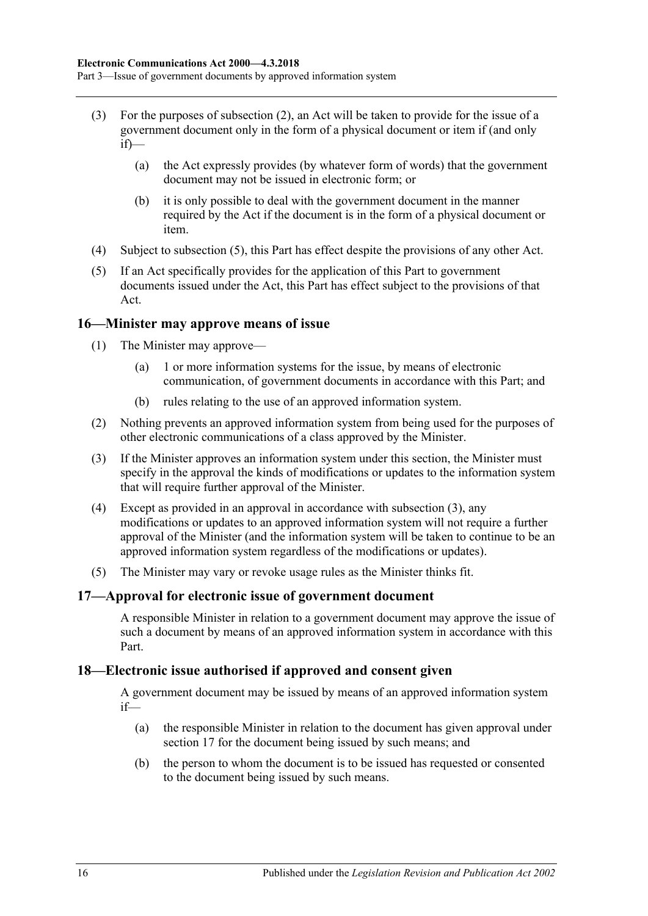- (3) For the purposes of [subsection](#page-14-5) (2), an Act will be taken to provide for the issue of a government document only in the form of a physical document or item if (and only  $if)$ —
	- (a) the Act expressly provides (by whatever form of words) that the government document may not be issued in electronic form; or
	- (b) it is only possible to deal with the government document in the manner required by the Act if the document is in the form of a physical document or item.
- (4) Subject to [subsection](#page-15-5) (5), this Part has effect despite the provisions of any other Act.
- <span id="page-15-5"></span>(5) If an Act specifically provides for the application of this Part to government documents issued under the Act, this Part has effect subject to the provisions of that Act.

### <span id="page-15-0"></span>**16—Minister may approve means of issue**

- <span id="page-15-3"></span>(1) The Minister may approve—
	- (a) 1 or more information systems for the issue, by means of electronic communication, of government documents in accordance with this Part; and
	- (b) rules relating to the use of an approved information system.
- <span id="page-15-4"></span>(2) Nothing prevents an approved information system from being used for the purposes of other electronic communications of a class approved by the Minister.
- <span id="page-15-6"></span>(3) If the Minister approves an information system under this section, the Minister must specify in the approval the kinds of modifications or updates to the information system that will require further approval of the Minister.
- (4) Except as provided in an approval in accordance with [subsection](#page-15-6) (3), any modifications or updates to an approved information system will not require a further approval of the Minister (and the information system will be taken to continue to be an approved information system regardless of the modifications or updates).
- (5) The Minister may vary or revoke usage rules as the Minister thinks fit.

### <span id="page-15-1"></span>**17—Approval for electronic issue of government document**

A responsible Minister in relation to a government document may approve the issue of such a document by means of an approved information system in accordance with this Part.

### <span id="page-15-2"></span>**18—Electronic issue authorised if approved and consent given**

A government document may be issued by means of an approved information system if—

- (a) the responsible Minister in relation to the document has given approval under [section](#page-15-1) 17 for the document being issued by such means; and
- (b) the person to whom the document is to be issued has requested or consented to the document being issued by such means.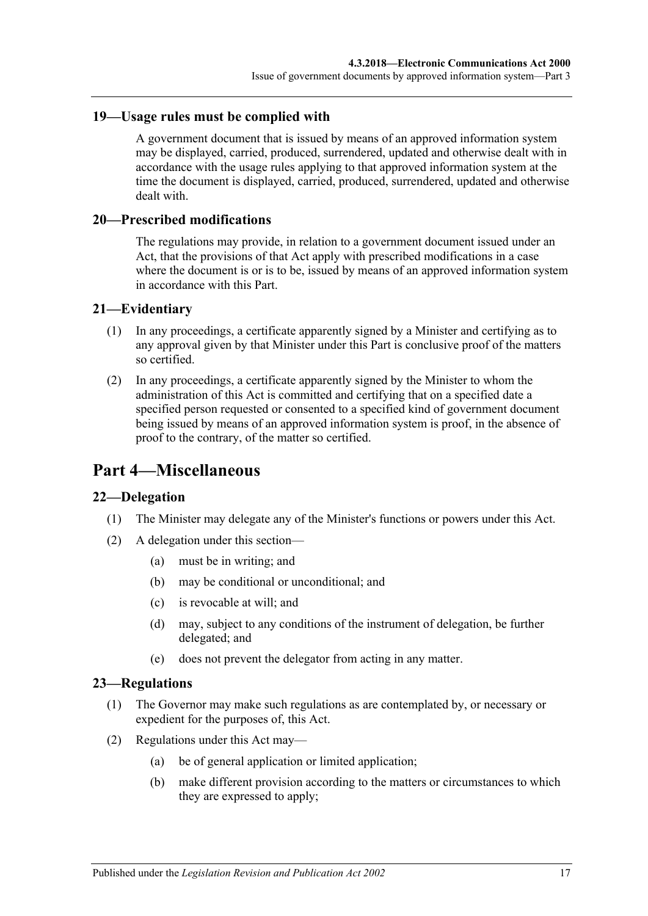### <span id="page-16-0"></span>**19—Usage rules must be complied with**

A government document that is issued by means of an approved information system may be displayed, carried, produced, surrendered, updated and otherwise dealt with in accordance with the usage rules applying to that approved information system at the time the document is displayed, carried, produced, surrendered, updated and otherwise dealt with.

### <span id="page-16-1"></span>**20—Prescribed modifications**

The regulations may provide, in relation to a government document issued under an Act, that the provisions of that Act apply with prescribed modifications in a case where the document is or is to be, issued by means of an approved information system in accordance with this Part.

### <span id="page-16-2"></span>**21—Evidentiary**

- (1) In any proceedings, a certificate apparently signed by a Minister and certifying as to any approval given by that Minister under this Part is conclusive proof of the matters so certified.
- (2) In any proceedings, a certificate apparently signed by the Minister to whom the administration of this Act is committed and certifying that on a specified date a specified person requested or consented to a specified kind of government document being issued by means of an approved information system is proof, in the absence of proof to the contrary, of the matter so certified.

# <span id="page-16-3"></span>**Part 4—Miscellaneous**

### <span id="page-16-4"></span>**22—Delegation**

- (1) The Minister may delegate any of the Minister's functions or powers under this Act.
- (2) A delegation under this section—
	- (a) must be in writing; and
	- (b) may be conditional or unconditional; and
	- (c) is revocable at will; and
	- (d) may, subject to any conditions of the instrument of delegation, be further delegated; and
	- (e) does not prevent the delegator from acting in any matter.

### <span id="page-16-5"></span>**23—Regulations**

- (1) The Governor may make such regulations as are contemplated by, or necessary or expedient for the purposes of, this Act.
- (2) Regulations under this Act may—
	- (a) be of general application or limited application;
	- (b) make different provision according to the matters or circumstances to which they are expressed to apply;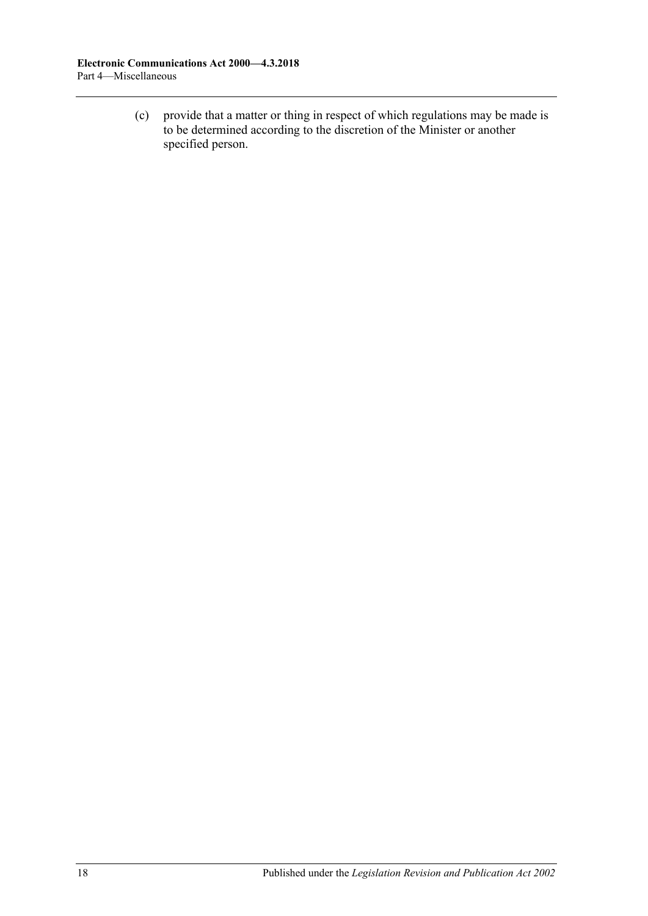(c) provide that a matter or thing in respect of which regulations may be made is to be determined according to the discretion of the Minister or another specified person.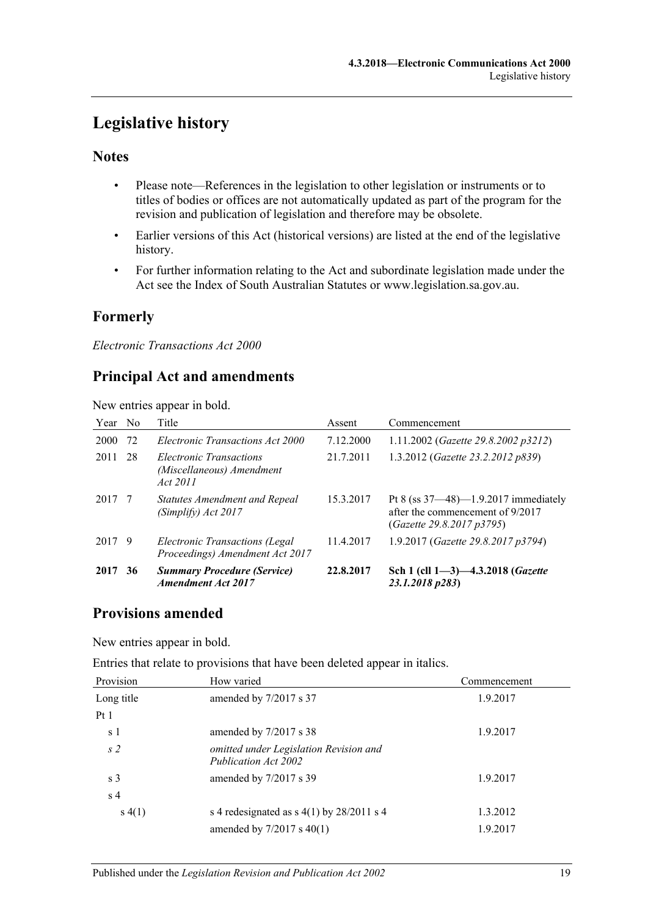# <span id="page-18-0"></span>**Legislative history**

# **Notes**

- Please note—References in the legislation to other legislation or instruments or to titles of bodies or offices are not automatically updated as part of the program for the revision and publication of legislation and therefore may be obsolete.
- Earlier versions of this Act (historical versions) are listed at the end of the legislative history.
- For further information relating to the Act and subordinate legislation made under the Act see the Index of South Australian Statutes or www.legislation.sa.gov.au.

# **Formerly**

*Electronic Transactions Act 2000*

# **Principal Act and amendments**

New entries appear in bold.

| Year No |    | Title                                                             | Assent    | Commencement                                                                                             |
|---------|----|-------------------------------------------------------------------|-----------|----------------------------------------------------------------------------------------------------------|
| 2000    | 72 | Electronic Transactions Act 2000                                  | 7.12.2000 | 1.11.2002 ( <i>Gazette 29.8.2002 p3212</i> )                                                             |
| 2011    | 28 | Electronic Transactions<br>(Miscellaneous) Amendment<br>Act 2011  | 21.7.2011 | 1.3.2012 (Gazette 23.2.2012 p839)                                                                        |
| 2017 7  |    | Statutes Amendment and Repeal<br>(Simplify) Act 2017              | 15.3.2017 | Pt 8 (ss $37-48$ )-1.9.2017 immediately<br>after the commencement of 9/2017<br>(Gazette 29.8.2017 p3795) |
| 2017 9  |    | Electronic Transactions (Legal<br>Proceedings) Amendment Act 2017 | 11.4.2017 | 1.9.2017 (Gazette 29.8.2017 p3794)                                                                       |
| 2017    | 36 | <b>Summary Procedure (Service)</b><br><b>Amendment Act 2017</b>   | 22.8.2017 | Sch 1 (cll $1-3$ ) $-4.3.2018$ ( <i>Gazette</i><br>23.1.2018 p283)                                       |

# **Provisions amended**

New entries appear in bold.

Entries that relate to provisions that have been deleted appear in italics.

| Provision      | How varied                                                     | Commencement |
|----------------|----------------------------------------------------------------|--------------|
| Long title     | amended by 7/2017 s 37                                         | 1.9.2017     |
| Pt1            |                                                                |              |
| s 1            | amended by 7/2017 s 38                                         | 1.9.2017     |
| s <sub>2</sub> | omitted under Legislation Revision and<br>Publication Act 2002 |              |
| s <sub>3</sub> | amended by 7/2017 s 39                                         | 1.9.2017     |
| s <sub>4</sub> |                                                                |              |
| s(4(1))        | s 4 redesignated as $s$ 4(1) by 28/2011 s 4                    | 1.3.2012     |
|                | amended by 7/2017 s 40(1)                                      | 1.9.2017     |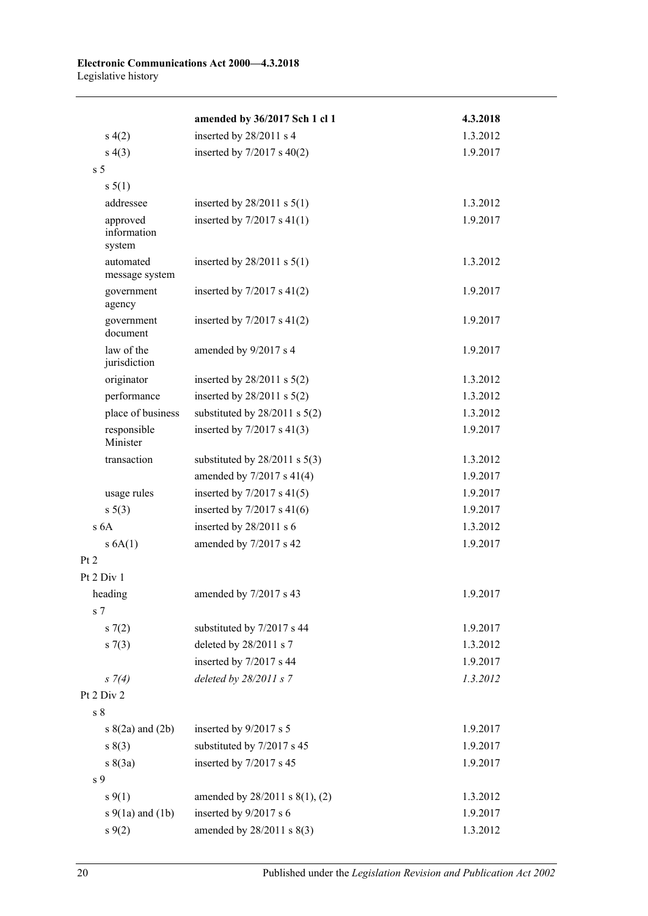|                                   | amended by 36/2017 Sch 1 cl 1     | 4.3.2018 |
|-----------------------------------|-----------------------------------|----------|
| s(4(2)                            | inserted by 28/2011 s 4           | 1.3.2012 |
| s(4(3))                           | inserted by $7/2017$ s $40(2)$    | 1.9.2017 |
| s <sub>5</sub>                    |                                   |          |
| s 5(1)                            |                                   |          |
| addressee                         | inserted by $28/2011$ s $5(1)$    | 1.3.2012 |
| approved<br>information<br>system | inserted by $7/2017$ s $41(1)$    | 1.9.2017 |
| automated<br>message system       | inserted by $28/2011$ s $5(1)$    | 1.3.2012 |
| government<br>agency              | inserted by $7/2017$ s $41(2)$    | 1.9.2017 |
| government<br>document            | inserted by $7/2017$ s $41(2)$    | 1.9.2017 |
| law of the<br>jurisdiction        | amended by 9/2017 s 4             | 1.9.2017 |
| originator                        | inserted by $28/2011$ s $5(2)$    | 1.3.2012 |
| performance                       | inserted by $28/2011$ s $5(2)$    | 1.3.2012 |
| place of business                 | substituted by $28/2011$ s $5(2)$ | 1.3.2012 |
| responsible<br>Minister           | inserted by $7/2017$ s $41(3)$    | 1.9.2017 |
| transaction                       | substituted by $28/2011$ s $5(3)$ | 1.3.2012 |
|                                   | amended by $7/2017$ s $41(4)$     | 1.9.2017 |
| usage rules                       | inserted by $7/2017$ s $41(5)$    | 1.9.2017 |
| $s \ 5(3)$                        | inserted by $7/2017$ s $41(6)$    | 1.9.2017 |
| s <sub>6A</sub>                   | inserted by 28/2011 s 6           | 1.3.2012 |
| s 6A(1)                           | amended by 7/2017 s 42            | 1.9.2017 |
| Pt 2                              |                                   |          |
| Pt 2 Div 1                        |                                   |          |
| heading<br>s <sub>7</sub>         | amended by 7/2017 s 43            | 1.9.2017 |
| s(7(2)                            | substituted by 7/2017 s 44        | 1.9.2017 |
| s(7(3))                           | deleted by 28/2011 s 7            | 1.3.2012 |
|                                   | inserted by 7/2017 s 44           | 1.9.2017 |
| $s \; 7(4)$                       | deleted by $28/2011 s$ 7          | 1.3.2012 |
| Pt 2 Div 2                        |                                   |          |
| $\,$ s $\,$ 8 $\,$                |                                   |          |
| $s(2a)$ and $(2b)$                | inserted by 9/2017 s 5            | 1.9.2017 |
| s(3)                              | substituted by 7/2017 s 45        | 1.9.2017 |
| s(3a)                             | inserted by 7/2017 s 45           | 1.9.2017 |
| s 9                               |                                   |          |
| $s \, 9(1)$                       | amended by 28/2011 s 8(1), (2)    | 1.3.2012 |
| $s \theta(1a)$ and $(1b)$         | inserted by 9/2017 s 6            | 1.9.2017 |
| $s \, 9(2)$                       | amended by 28/2011 s 8(3)         | 1.3.2012 |